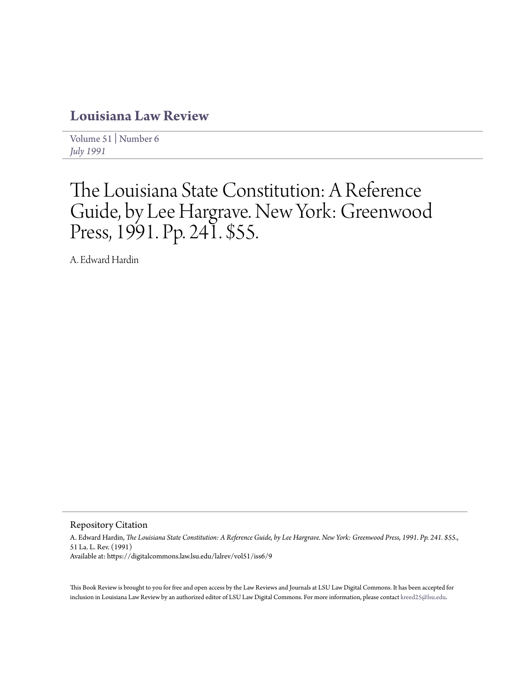## **[Louisiana Law Review](https://digitalcommons.law.lsu.edu/lalrev)**

[Volume 51](https://digitalcommons.law.lsu.edu/lalrev/vol51) | [Number 6](https://digitalcommons.law.lsu.edu/lalrev/vol51/iss6) *[July 1991](https://digitalcommons.law.lsu.edu/lalrev/vol51/iss6)*

## The Louisiana State Constitution: A Reference Guide, by Lee Hargrave. New York: Greenwood Press, 1991. Pp. 241. \$55.

A. Edward Hardin

Repository Citation

A. Edward Hardin, *The Louisiana State Constitution: A Reference Guide, by Lee Hargrave. New York: Greenwood Press, 1991. Pp. 241. \$55.*, 51 La. L. Rev. (1991) Available at: https://digitalcommons.law.lsu.edu/lalrev/vol51/iss6/9

This Book Review is brought to you for free and open access by the Law Reviews and Journals at LSU Law Digital Commons. It has been accepted for inclusion in Louisiana Law Review by an authorized editor of LSU Law Digital Commons. For more information, please contact [kreed25@lsu.edu](mailto:kreed25@lsu.edu).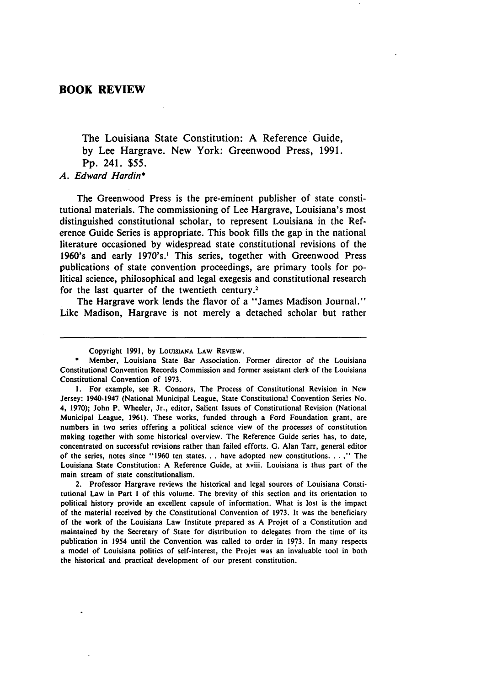## **BOOK REVIEW**

The Louisiana State Constitution: **A** Reference Guide, **by** Lee Hargrave. New York: Greenwood Press, **1991. Pp.** 241. **\$55.**

*A. Edward Hardin\**

The Greenwood Press is the pre-eminent publisher of state constitutional materials. The commissioning of Lee Hargrave, Louisiana's most distinguished constitutional scholar, to represent Louisiana in the Reference Guide Series is appropriate. This book fills the gap in the national literature occasioned **by** widespread state constitutional revisions of the 1960's and early 1970's.' This series, together with Greenwood Press publications of state convention proceedings, are primary tools for political science, philosophical and legal exegesis and constitutional research for the last quarter of the twentieth century.2

The Hargrave work lends the flavor of a "James Madison Journal." Like Madison, Hargrave is not merely a detached scholar but rather

**1.** For example, see R. Connors, The Process of Constitutional Revision in New Jersey: 1940-1947 (National Municipal League, State Constitutional Convention Series No. 4, **1970);** John P. Wheeler, Jr., editor, Salient Issues of Constitutional Revision (National Municipal League, **1961).** These works, funded through a Ford Foundation grant, are numbers in two series offering a political science view of the processes of constitution making together with some historical overview. The Reference Guide series has, to date, concentrated on successful revisions rather than failed efforts. **G.** Alan Tarr, general editor of the series, notes since **"1960** ten states. **. .** have adopted new constitutions... **,"** The Louisiana State Constitution: **A** Reference Guide, at xviii. Louisiana is thus part of the main stream of state constitutionalism.

2. Professor Hargrave reviews the historical and legal sources of Louisiana Constitutional Law in Part **I** of this volume. The brevity of this section and its orientation to political history provide an excellent capsule of information. What is lost is the impact of the material received **by** the Constitutional Convention of **1973.** It was the beneficiary of the work of the Louisiana Law Institute prepared as **A** Projet of a Constitution and maintained **by** the Secretary of State for distribution to delegates from the time of its publication in 1954 until the Convention was called to order in **1973.** In many respects a model of Louisiana politics of self-interest, the Projet was an invaluable tool in both the historical and practical development of our present constitution.

Copyright **1991, by LOUISIANA** LAW REVIEW.

**<sup>\*</sup>** Member, Louisiana State Bar Association. Former director of the Louisiana Constitutional Convention Records Commission and former assistant clerk of the Louisiana Constitutional Convention of **1973.**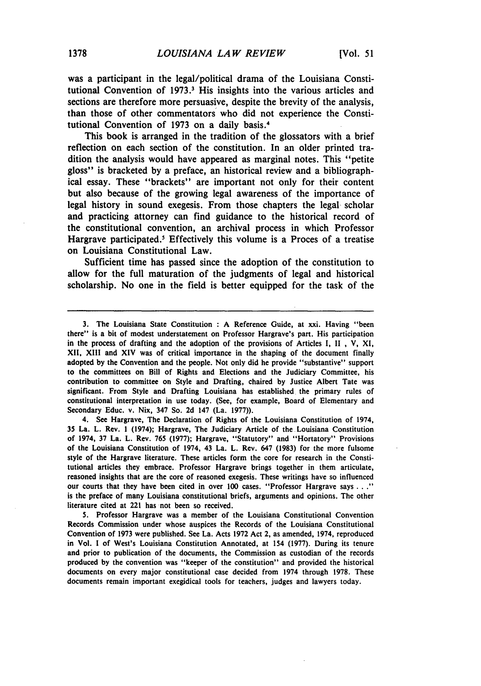was a participant in the legal/political drama of the Louisiana Constitutional Convention of 1973.<sup>3</sup> His insights into the various articles and sections are therefore more persuasive, despite the brevity of the analysis, than those of other commentators who did not experience the Constitutional Convention of 1973 on a daily basis.4

This book is arranged in the tradition of the glossators with a brief reflection on each section of the constitution. In an older printed tradition the analysis would have appeared as marginal notes. This "petite gloss" is bracketed **by** a preface, an historical review and a bibliographical essay. These "brackets" are important not only for their content but also because of the growing legal awareness of the importance of legal history in sound exegesis. From those chapters the legal scholar and practicing attorney can find guidance to the historical record of the constitutional convention, an archival process in which Professor Hargrave participated.' Effectively this volume is a Proces of a treatise on Louisiana Constitutional Law.

Sufficient time has passed since the adoption of the constitution to allow for the full maturation of the judgments of legal and historical scholarship. No one in the field is better equipped for the task of the

4. See Hargrave, The Declaration of Rights of the Louisiana Constitution of 1974, 35 La. L. Rev. **1** (1974); Hargrave, The Judiciary Article of the Louisiana Constitution of 1974, **37** La. L. Rev. **765 (1977);** Hargrave, "Statutory" and "Hortatory" Provisions of the Louisiana Constitution of 1974, 43 La. L. Rev. 647 **(1983)** for the more fulsome style of the Hargrave literature. These articles form the core for research in the Constitutional articles they embrace. Professor Hargrave brings together in them articulate, reasoned insights that are the core of reasoned exegesis. These writings have so influenced our courts that they have been cited in over **100** cases. "Professor Hargrave says **... "** is the preface of many Louisiana constitutional briefs, arguments and opinions. The other literature cited at 221 has not been so received.

**5.** Professor Hargrave was a member of the Louisiana Constitutional Convention Records Commission under whose auspices the Records of the Louisiana Constitutional Convention of **1973** were published. See La. Acts **1972** Act 2, as amended, 1974, reproduced in Vol. I of West's Louisiana Constitution Annotated, at 154 **(1977).** During its tenure and prior to publication of the documents, the Commission as custodian of the records produced **by** the convention was "keeper of the constitution" and provided the historical documents on every major constitutional case decided from 1974 through **1978.** These documents remain important exegidical tools for teachers, judges and lawyers today.

**<sup>3.</sup>** The Louisiana State Constitution **: A** Reference Guide, at xxi. Having "been there" is a bit of modest understatement on Professor Hargrave's part. His participation in the process of drafting and the adoption of the provisions of Articles **I, II ,** V, XI, **XII,** XIII and **XIV** was of critical importance in the shaping of the document finally adopted **by** the Convention and the people. Not only did he provide "substantive" support to the committees on Bill of Rights and Elections and the Judiciary Committee, his contribution to committee on Style and Drafting, chaired **by** Justice Albert Tate was significant. From Style and Drafting Louisiana has established the primary rules of constitutional interpretation in use today. (See, for example, Board of Elementary and Secondary Educ. v. Nix, 347 So. 2d 147 (La. **1977)).**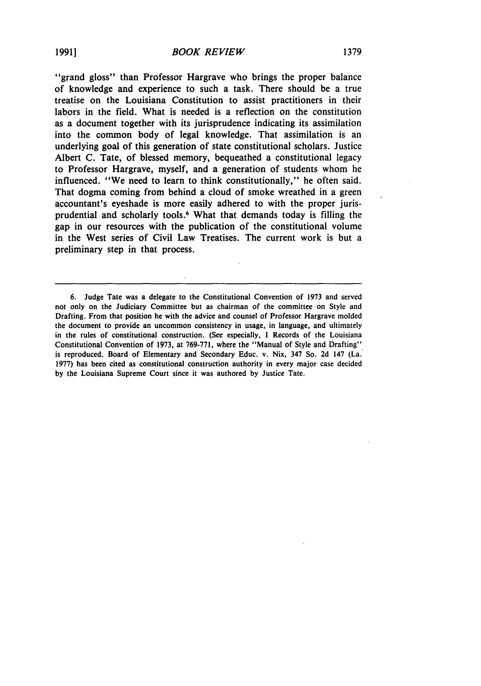"grand gloss" than Professor Hargrave who brings the proper balance of knowledge and experience to such a task. There should be a true treatise on the Louisiana Constitution to assist practitioners in their labors in the field. What is needed is a reflection on the constitution as a document together with its jurisprudence indicating its assimilation into the common body of legal knowledge. That assimilation is an underlying goal of this generation of state constitutional scholars. Justice Albert C. Tate, of blessed memory, bequeathed a constitutional legacy to Professor Hargrave, myself, and a generation of students whom he influenced. "We need to learn to think constitutionally," he often said. That dogma coming from behind a cloud of smoke wreathed in a green accountant's eyeshade is more easily adhered to with the proper jurisprudential and scholarly tools.<sup>6</sup> What that demands today is filling the gap in our resources with the publication of the constitutional volume in the West series of Civil Law Treatises. The current work is but a preliminary step in that process.

<sup>6.</sup> Judge Tate was a delegate to the Constitutional Convention of **1973** and served not only on the Judiciary Committee but as chairman of the committee on Style and Drafting. From that position he with the advice and counsel of Professor Hargrave molded the document to provide an uncommon consistency in usage, in language, and ultimately in the rules of constitutional construction. (See especially, I Records of the Louisiana Constitutional Convention of 1973, at 769-771, where the "Manual of Style and Drafting" is reproduced. Board of Elementary and Secondary Educ. v. Nix, 347 So. 2d 147 (La. 1977) has been cited as constitutional construction authority in every major case decided **by** the Louisiana Supreme Court since it was authored by Justice Tate.